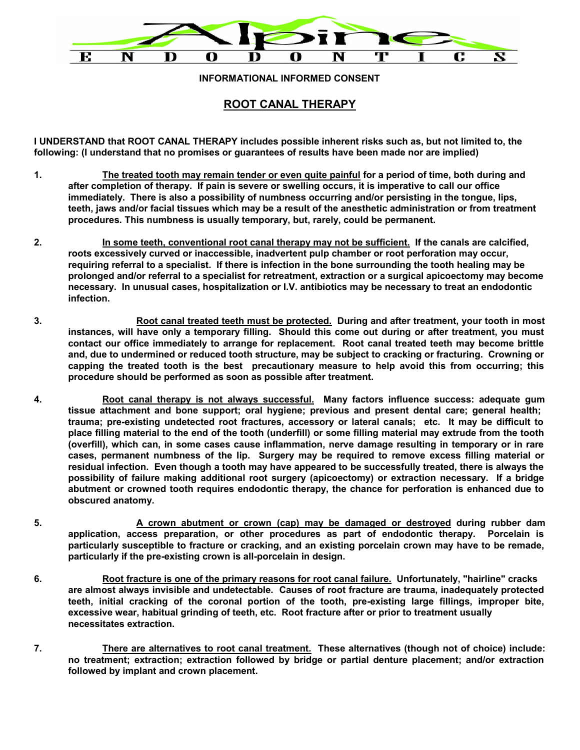

**INFORMATIONAL INFORMED CONSENT**

## **ROOT CANAL THERAPY**

**I UNDERSTAND that ROOT CANAL THERAPY includes possible inherent risks such as, but not limited to, the following: (I understand that no promises or guarantees of results have been made nor are implied)**

- **1. The treated tooth may remain tender or even quite painful for a period of time, both during and after completion of therapy. If pain is severe or swelling occurs, it is imperative to call our office immediately. There is also a possibility of numbness occurring and/or persisting in the tongue, lips, teeth, jaws and/or facial tissues which may be a result of the anesthetic administration or from treatment procedures. This numbness is usually temporary, but, rarely, could be permanent.**
- **2. In some teeth, conventional root canal therapy may not be sufficient. If the canals are calcified, roots excessively curved or inaccessible, inadvertent pulp chamber or root perforation may occur, requiring referral to a specialist. If there is infection in the bone surrounding the tooth healing may be prolonged and/or referral to a specialist for retreatment, extraction or a surgical apicoectomy may become necessary. In unusual cases, hospitalization or I.V. antibiotics may be necessary to treat an endodontic infection.**
- **3. Root canal treated teeth must be protected. During and after treatment, your tooth in most instances, will have only a temporary filling. Should this come out during or after treatment, you must contact our office immediately to arrange for replacement. Root canal treated teeth may become brittle and, due to undermined or reduced tooth structure, may be subject to cracking or fracturing. Crowning or capping the treated tooth is the best precautionary measure to help avoid this from occurring; this procedure should be performed as soon as possible after treatment.**
- **4. Root canal therapy is not always successful. Many factors influence success: adequate gum tissue attachment and bone support; oral hygiene; previous and present dental care; general health; trauma; pre-existing undetected root fractures, accessory or lateral canals; etc. It may be difficult to place filling material to the end of the tooth (underfill) or some filling material may extrude from the tooth (overfill), which can, in some cases cause inflammation, nerve damage resulting in temporary or in rare cases, permanent numbness of the lip. Surgery may be required to remove excess filling material or residual infection. Even though a tooth may have appeared to be successfully treated, there is always the possibility of failure making additional root surgery (apicoectomy) or extraction necessary. If a bridge abutment or crowned tooth requires endodontic therapy, the chance for perforation is enhanced due to obscured anatomy.**
- **5. A crown abutment or crown (cap) may be damaged or destroyed during rubber dam application, access preparation, or other procedures as part of endodontic therapy. Porcelain is particularly susceptible to fracture or cracking, and an existing porcelain crown may have to be remade, particularly if the pre-existing crown is all-porcelain in design.**
- **6. Root fracture is one of the primary reasons for root canal failure. Unfortunately, "hairline" cracks are almost always invisible and undetectable. Causes of root fracture are trauma, inadequately protected teeth, initial cracking of the coronal portion of the tooth, pre-existing large fillings, improper bite, excessive wear, habitual grinding of teeth, etc. Root fracture after or prior to treatment usually necessitates extraction.**
- **7. There are alternatives to root canal treatment. These alternatives (though not of choice) include: no treatment; extraction; extraction followed by bridge or partial denture placement; and/or extraction followed by implant and crown placement.**